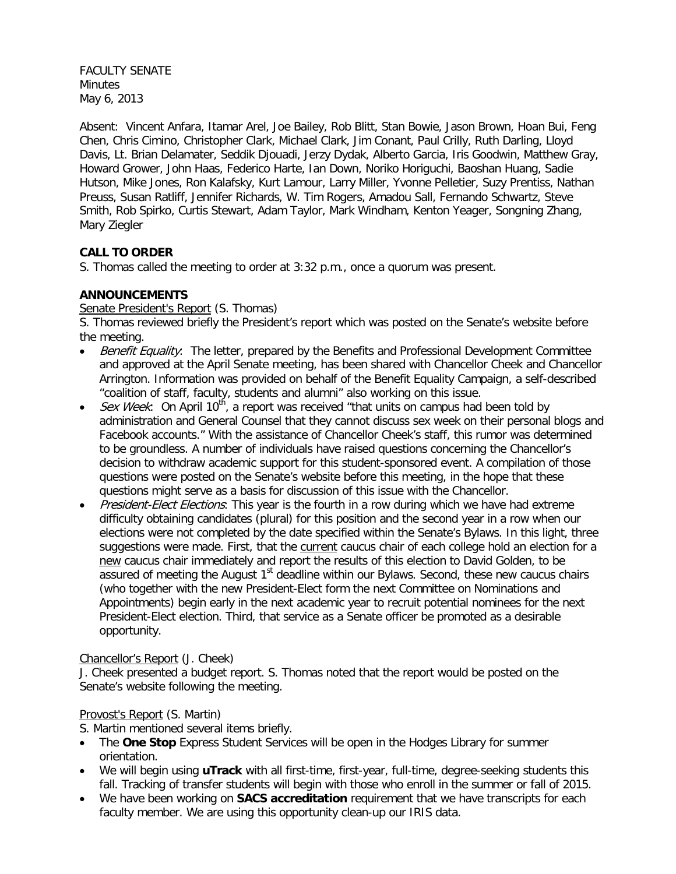FACULTY SENATE **Minutes** May 6, 2013

Absent: Vincent Anfara, Itamar Arel, Joe Bailey, Rob Blitt, Stan Bowie, Jason Brown, Hoan Bui, Feng Chen, Chris Cimino, Christopher Clark, Michael Clark, Jim Conant, Paul Crilly, Ruth Darling, Lloyd Davis, Lt. Brian Delamater, Seddik Djouadi, Jerzy Dydak, Alberto Garcia, Iris Goodwin, Matthew Gray, Howard Grower, John Haas, Federico Harte, Ian Down, Noriko Horiguchi, Baoshan Huang, Sadie Hutson, Mike Jones, Ron Kalafsky, Kurt Lamour, Larry Miller, Yvonne Pelletier, Suzy Prentiss, Nathan Preuss, Susan Ratliff, Jennifer Richards, W. Tim Rogers, Amadou Sall, Fernando Schwartz, Steve Smith, Rob Spirko, Curtis Stewart, Adam Taylor, Mark Windham, Kenton Yeager, Songning Zhang, Mary Ziegler

# **CALL TO ORDER**

S. Thomas called the meeting to order at 3:32 p.m., once a quorum was present.

## **ANNOUNCEMENTS**

Senate President's Report (S. Thomas)

S. Thomas reviewed briefly the President's report which was posted on the Senate's website before the meeting.

- Benefit Equality: The letter, prepared by the Benefits and Professional Development Committee and approved at the April Senate meeting, has been shared with Chancellor Cheek and Chancellor Arrington. Information was provided on behalf of the Benefit Equality Campaign, a self-described "coalition of staff, faculty, students and alumni" also working on this issue.
- *Sex Week*: On April 10<sup>th</sup>, a report was received "that units on campus had been told by administration and General Counsel that they cannot discuss sex week on their personal blogs and Facebook accounts." With the assistance of Chancellor Cheek's staff, this rumor was determined to be groundless. A number of individuals have raised questions concerning the Chancellor's decision to withdraw academic support for this student-sponsored event. A compilation of those questions were posted on the Senate's website before this meeting, in the hope that these questions might serve as a basis for discussion of this issue with the Chancellor.
- President-Elect Elections: This year is the fourth in a row during which we have had extreme difficulty obtaining candidates (plural) for this position and the second year in a row when our elections were not completed by the date specified within the Senate's Bylaws. In this light, three suggestions were made. First, that the current caucus chair of each college hold an election for a new caucus chair immediately and report the results of this election to David Golden, to be assured of meeting the August  $1<sup>st</sup>$  deadline within our Bylaws. Second, these new caucus chairs (who together with the new President-Elect form the next Committee on Nominations and Appointments) begin early in the next academic year to recruit potential nominees for the next President-Elect election. Third, that service as a Senate officer be promoted as a desirable opportunity.

## Chancellor's Report (J. Cheek)

J. Cheek presented a budget report. S. Thomas noted that the report would be posted on the Senate's website following the meeting.

## Provost's Report (S. Martin)

S. Martin mentioned several items briefly.

- The **One Stop** Express Student Services will be open in the Hodges Library for summer orientation.
- We will begin using **uTrack** with all first-time, first-year, full-time, degree-seeking students this fall. Tracking of transfer students will begin with those who enroll in the summer or fall of 2015.
- We have been working on **SACS accreditation** requirement that we have transcripts for each faculty member. We are using this opportunity clean-up our IRIS data.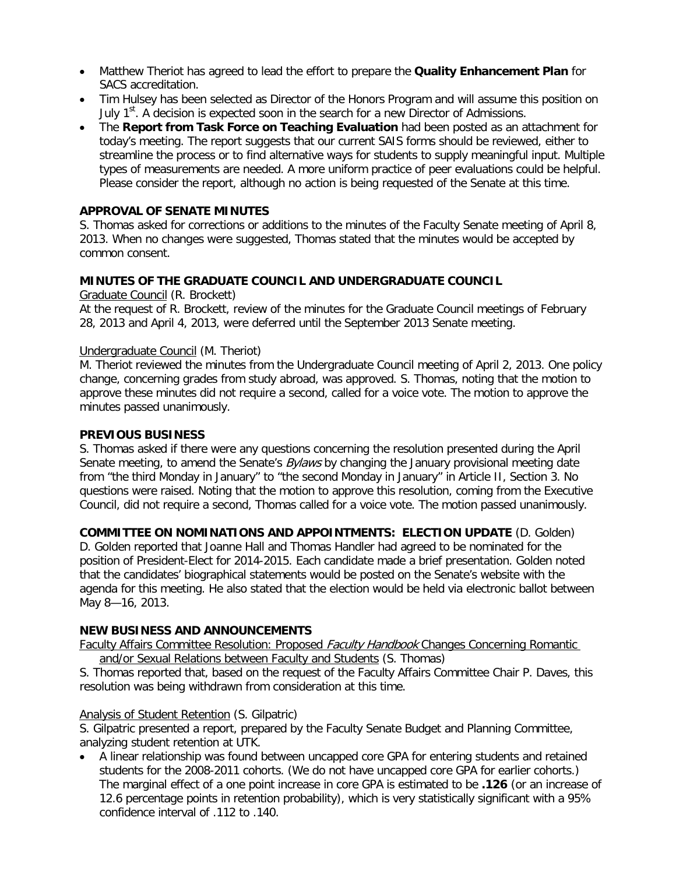- Matthew Theriot has agreed to lead the effort to prepare the **Quality Enhancement Plan** for SACS accreditation.
- Tim Hulsey has been selected as Director of the Honors Program and will assume this position on July  $1<sup>st</sup>$ . A decision is expected soon in the search for a new Director of Admissions.
- The **Report from Task Force on Teaching Evaluation** had been posted as an attachment for today's meeting. The report suggests that our current SAIS forms should be reviewed, either to streamline the process or to find alternative ways for students to supply meaningful input. Multiple types of measurements are needed. A more uniform practice of peer evaluations could be helpful. Please consider the report, although no action is being requested of the Senate at this time.

#### **APPROVAL OF SENATE MINUTES**

S. Thomas asked for corrections or additions to the minutes of the Faculty Senate meeting of April 8, 2013. When no changes were suggested, Thomas stated that the minutes would be accepted by common consent.

### **MINUTES OF THE GRADUATE COUNCIL AND UNDERGRADUATE COUNCIL**

Graduate Council (R. Brockett)

At the request of R. Brockett, review of the minutes for the Graduate Council meetings of February 28, 2013 and April 4, 2013, were deferred until the September 2013 Senate meeting.

#### Undergraduate Council (M. Theriot)

M. Theriot reviewed the minutes from the Undergraduate Council meeting of April 2, 2013. One policy change, concerning grades from study abroad, was approved. S. Thomas, noting that the motion to approve these minutes did not require a second, called for a voice vote. The motion to approve the minutes passed unanimously.

#### **PREVIOUS BUSINESS**

S. Thomas asked if there were any questions concerning the resolution presented during the April Senate meeting, to amend the Senate's *Bylaws* by changing the January provisional meeting date from "the third Monday in January" to "the second Monday in January" in Article II, Section 3. No questions were raised. Noting that the motion to approve this resolution, coming from the Executive Council, did not require a second, Thomas called for a voice vote. The motion passed unanimously.

**COMMITTEE ON NOMINATIONS AND APPOINTMENTS: ELECTION UPDATE** (D. Golden)

D. Golden reported that Joanne Hall and Thomas Handler had agreed to be nominated for the position of President-Elect for 2014-2015. Each candidate made a brief presentation. Golden noted that the candidates' biographical statements would be posted on the Senate's website with the agenda for this meeting. He also stated that the election would be held via electronic ballot between May 8—16, 2013.

## **NEW BUSINESS AND ANNOUNCEMENTS**

Faculty Affairs Committee Resolution: Proposed Faculty Handbook Changes Concerning Romantic and/or Sexual Relations between Faculty and Students (S. Thomas)

S. Thomas reported that, based on the request of the Faculty Affairs Committee Chair P. Daves, this resolution was being withdrawn from consideration at this time.

#### Analysis of Student Retention (S. Gilpatric)

S. Gilpatric presented a report, prepared by the Faculty Senate Budget and Planning Committee, analyzing student retention at UTK.

• A linear relationship was found between uncapped core GPA for entering students and retained students for the 2008-2011 cohorts. (We do not have uncapped core GPA for earlier cohorts.) The marginal effect of a one point increase in core GPA is estimated to be **.126** (or an increase of 12.6 percentage points in retention probability), which is very statistically significant with a 95% confidence interval of .112 to .140.